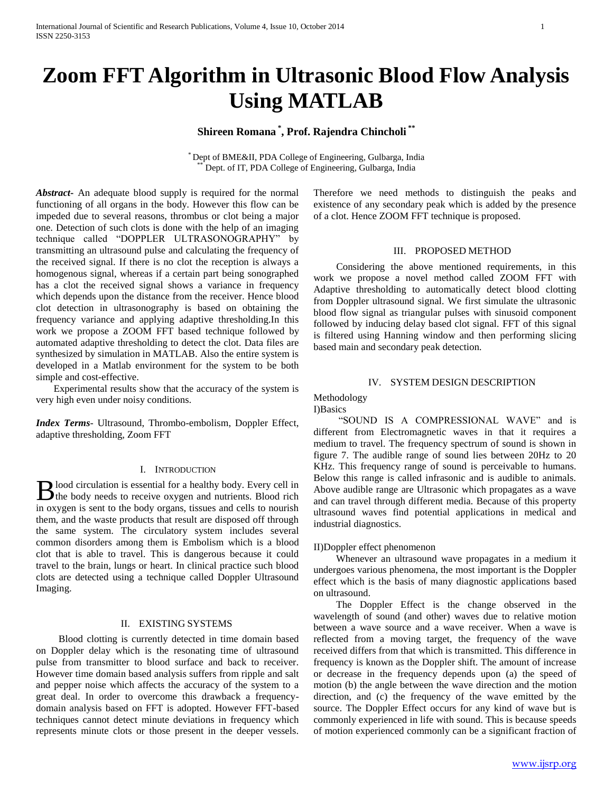# **Zoom FFT Algorithm in Ultrasonic Blood Flow Analysis Using MATLAB**

# **Shireen Romana \* , Prof. Rajendra Chincholi \*\***

\* Dept of BME&II, PDA College of Engineering, Gulbarga, India Dept. of IT, PDA College of Engineering, Gulbarga, India

*Abstract***-** An adequate blood supply is required for the normal functioning of all organs in the body. However this flow can be impeded due to several reasons, thrombus or clot being a major one. Detection of such clots is done with the help of an imaging technique called "DOPPLER ULTRASONOGRAPHY" by transmitting an ultrasound pulse and calculating the frequency of the received signal. If there is no clot the reception is always a homogenous signal, whereas if a certain part being sonographed has a clot the received signal shows a variance in frequency which depends upon the distance from the receiver. Hence blood clot detection in ultrasonography is based on obtaining the frequency variance and applying adaptive thresholding.In this work we propose a ZOOM FFT based technique followed by automated adaptive thresholding to detect the clot. Data files are synthesized by simulation in MATLAB. Also the entire system is developed in a Matlab environment for the system to be both simple and cost-effective.

 Experimental results show that the accuracy of the system is very high even under noisy conditions.

*Index Terms*- Ultrasound, Thrombo-embolism, Doppler Effect, adaptive thresholding, Zoom FFT

### I. INTRODUCTION

lood circulation is essential for a healthy body. Every cell in **the body** needs to receive oxygen and nutrients. Blood rich in the body needs to receive oxygen and nutrients. Blood rich in oxygen is sent to the body organs, tissues and cells to nourish them, and the waste products that result are disposed off through the same system. The circulatory system includes several common disorders among them is Embolism which is a blood clot that is able to travel. This is dangerous because it could travel to the brain, lungs or heart. In clinical practice such blood clots are detected using a technique called Doppler Ultrasound Imaging.

### II. EXISTING SYSTEMS

 Blood clotting is currently detected in time domain based on Doppler delay which is the resonating time of ultrasound pulse from transmitter to blood surface and back to receiver. However time domain based analysis suffers from ripple and salt and pepper noise which affects the accuracy of the system to a great deal. In order to overcome this drawback a frequencydomain analysis based on FFT is adopted. However FFT-based techniques cannot detect minute deviations in frequency which represents minute clots or those present in the deeper vessels.

Therefore we need methods to distinguish the peaks and existence of any secondary peak which is added by the presence of a clot. Hence ZOOM FFT technique is proposed.

### III. PROPOSED METHOD

 Considering the above mentioned requirements, in this work we propose a novel method called ZOOM FFT with Adaptive thresholding to automatically detect blood clotting from Doppler ultrasound signal. We first simulate the ultrasonic blood flow signal as triangular pulses with sinusoid component followed by inducing delay based clot signal. FFT of this signal is filtered using Hanning window and then performing slicing based main and secondary peak detection.

### IV. SYSTEM DESIGN DESCRIPTION

# Methodology

I)Basics

 "SOUND IS A COMPRESSIONAL WAVE" and is different from Electromagnetic waves in that it requires a medium to travel. The frequency spectrum of sound is shown in figure 7. The audible range of sound lies between 20Hz to 20 KHz. This frequency range of sound is perceivable to humans. Below this range is called infrasonic and is audible to animals. Above audible range are Ultrasonic which propagates as a wave and can travel through different media. Because of this property ultrasound waves find potential applications in medical and industrial diagnostics.

# II)Doppler effect phenomenon

 Whenever an ultrasound wave propagates in a medium it undergoes various phenomena, the most important is the Doppler effect which is the basis of many diagnostic applications based on ultrasound.

 The Doppler Effect is the change observed in the wavelength of sound (and other) waves due to relative motion between a wave source and a wave receiver. When a wave is reflected from a moving target, the frequency of the wave received differs from that which is transmitted. This difference in frequency is known as the Doppler shift. The amount of increase or decrease in the frequency depends upon (a) the speed of motion (b) the angle between the wave direction and the motion direction, and (c) the frequency of the wave emitted by the source. The Doppler Effect occurs for any kind of wave but is commonly experienced in life with sound. This is because speeds of motion experienced commonly can be a significant fraction of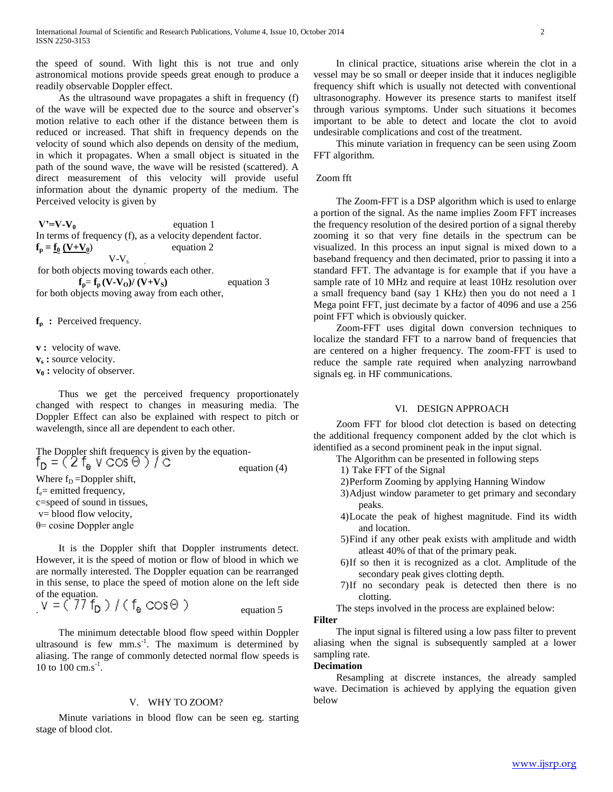the speed of sound. With light this is not true and only astronomical motions provide speeds great enough to produce a readily observable Doppler effect.

 As the ultrasound wave propagates a shift in frequency (f) of the wave will be expected due to the source and observer's motion relative to each other if the distance between them is reduced or increased. That shift in frequency depends on the velocity of sound which also depends on density of the medium, in which it propagates. When a small object is situated in the path of the sound wave, the wave will be resisted (scattered). A direct measurement of this velocity will provide useful information about the dynamic property of the medium. The Perceived velocity is given by

 $V' = V - V_0$  equation 1 In terms of frequency (f), as a velocity dependent factor.  $f_p = f_0 (V + V_0)$  equation 2  $V-V<sub>s</sub>$ for both objects moving towards each other.

 $f_p = f_p (V - V_0) / (V + V_s)$  equation 3 for both objects moving away from each other,

**f<sup>p</sup> :** Perceived frequency.

**v**: velocity of wave.

**v<sup>s</sup> :** source velocity.

**v<sup>0</sup> :** velocity of observer.

 Thus we get the perceived frequency proportionately changed with respect to changes in measuring media. The Doppler Effect can also be explained with respect to pitch or wavelength, since all are dependent to each other.

The Doppler shift frequency is given by the equation-<br> $f_D = (2 f_A \vee \text{COS} \Theta) / \text{C}$  equation (4) Where  $f_D = Doppler$  shift,  $f_e$ = emitted frequency, c=speed of sound in tissues, v= blood flow velocity, θ= cosine Doppler angle

 It is the Doppler shift that Doppler instruments detect. However, it is the speed of motion or flow of blood in which we are normally interested. The Doppler equation can be rearranged in this sense, to place the speed of motion alone on the left side of the equation.

 $.$   $v = \langle 11 \rangle$  D  $21 \rangle$  Leg  $\cup$  O  $\cup$   $v$  D  $\cup$  T  $\cup$  B  $\cup$  O  $\cup$  T  $\cup$  P  $\cup$  equation 5

 The minimum detectable blood flow speed within Doppler ultrasound is few  $mm.s^{-1}$ . The maximum is determined by aliasing. The range of commonly detected normal flow speeds is 10 to 100 cm.s<sup>-1</sup>.

### V. WHY TO ZOOM?

 Minute variations in blood flow can be seen eg. starting stage of blood clot.

 In clinical practice, situations arise wherein the clot in a vessel may be so small or deeper inside that it induces negligible frequency shift which is usually not detected with conventional ultrasonography. However its presence starts to manifest itself through various symptoms. Under such situations it becomes important to be able to detect and locate the clot to avoid undesirable complications and cost of the treatment.

 This minute variation in frequency can be seen using Zoom FFT algorithm.

# Zoom fft

 The Zoom-FFT is a DSP algorithm which is used to enlarge a portion of the signal. As the name implies Zoom FFT increases the frequency resolution of the desired portion of a signal thereby zooming it so that very fine details in the spectrum can be visualized. In this process an input signal is mixed down to a baseband frequency and then decimated, prior to passing it into a standard FFT. The advantage is for example that if you have a sample rate of 10 MHz and require at least 10Hz resolution over a small frequency band (say 1 KHz) then you do not need a 1 Mega point FFT, just decimate by a factor of 4096 and use a 256 point FFT which is obviously quicker.

 Zoom-FFT uses digital down conversion techniques to localize the standard FFT to a narrow band of frequencies that are centered on a higher frequency. The zoom-FFT is used to reduce the sample rate required when analyzing narrowband signals eg. in HF communications.

# VI. DESIGN APPROACH

 Zoom FFT for blood clot detection is based on detecting the additional frequency component added by the clot which is identified as a second prominent peak in the input signal.

- The Algorithm can be presented in following steps
	- 1) Take FFT of the Signal
	- 2)Perform Zooming by applying Hanning Window
	- 3)Adjust window parameter to get primary and secondary peaks.
	- 4)Locate the peak of highest magnitude. Find its width and location.
	- 5)Find if any other peak exists with amplitude and width atleast 40% of that of the primary peak.
	- 6)If so then it is recognized as a clot. Amplitude of the secondary peak gives clotting depth.
	- 7)If no secondary peak is detected then there is no clotting.
- The steps involved in the process are explained below:

# **Filter**

 The input signal is filtered using a low pass filter to prevent aliasing when the signal is subsequently sampled at a lower sampling rate.

### **Decimation**

 Resampling at discrete instances, the already sampled wave. Decimation is achieved by applying the equation given below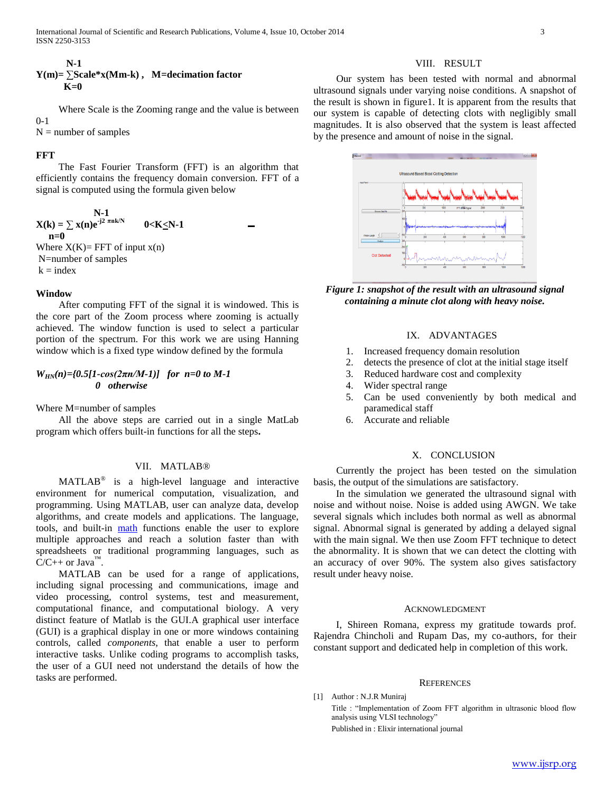# VIII. RESULT

# **N-1 Y(m)=** ∑**Scale\*x(Mm-k) , M=decimation factor K=0**

 Where Scale is the Zooming range and the value is between 0-1

 $N =$  number of samples

### **FFT**

 The Fast Fourier Transform (FFT) is an algorithm that efficiently contains the frequency domain conversion. FFT of a signal is computed using the formula given below

N-1  
\n
$$
X(k) = \sum x(n)e^{-j2\pi n k/N}
$$
 0 $< K \le N-1$  -  
\n $n=0$ 

Where  $X(K)=$  FFT of input  $x(n)$ N=number of samples  $k = index$ 

### **Window**

 After computing FFT of the signal it is windowed. This is the core part of the Zoom process where zooming is actually achieved. The window function is used to select a particular portion of the spectrum. For this work we are using Hanning window which is a fixed type window defined by the formula

# *WHN(n)={0.5[1-cos(2πn/M-1)] for n=0 to M-1 0 otherwise*

Where M=number of samples

 All the above steps are carried out in a single MatLab program which offers built-in functions for all the steps**.**

# VII. MATLAB®

MATLAB<sup>®</sup> is a high-level language and interactive environment for numerical computation, visualization, and programming. Using MATLAB, user can analyze data, develop algorithms, and create models and applications. The language, tools, and built-in [math](http://www.mathworks.in/products/matlab/) functions enable the user to explore multiple approaches and reach a solution faster than with spreadsheets or traditional programming languages, such as  $C/C++$  or Java<sup>™</sup>.

 MATLAB can be used for a range of applications, including signal processing and communications, image and video processing, control systems, test and measurement, computational finance, and computational biology. A very distinct feature of Matlab is the GUI.A graphical user interface (GUI) is a graphical display in one or more windows containing controls, called *components*, that enable a user to perform interactive tasks. Unlike coding programs to accomplish tasks, the user of a GUI need not understand the details of how the tasks are performed.

 Our system has been tested with normal and abnormal ultrasound signals under varying noise conditions. A snapshot of the result is shown in figure1. It is apparent from the results that our system is capable of detecting clots with negligibly small magnitudes. It is also observed that the system is least affected by the presence and amount of noise in the signal.



*Figure 1: snapshot of the result with an ultrasound signal containing a minute clot along with heavy noise.*

# IX. ADVANTAGES

- 1. Increased frequency domain resolution
- 2. detects the presence of clot at the initial stage itself
- 3. Reduced hardware cost and complexity
- 4. Wider spectral range
- 5. Can be used conveniently by both medical and paramedical staff
- 6. Accurate and reliable

### X. CONCLUSION

 Currently the project has been tested on the simulation basis, the output of the simulations are satisfactory.

 In the simulation we generated the ultrasound signal with noise and without noise. Noise is added using AWGN. We take several signals which includes both normal as well as abnormal signal. Abnormal signal is generated by adding a delayed signal with the main signal. We then use Zoom FFT technique to detect the abnormality. It is shown that we can detect the clotting with an accuracy of over 90%. The system also gives satisfactory result under heavy noise.

### ACKNOWLEDGMENT

 I, Shireen Romana, express my gratitude towards prof. Rajendra Chincholi and Rupam Das, my co-authors, for their constant support and dedicated help in completion of this work.

#### **REFERENCES**

[1] Author : N.J.R Muniraj

Title : "Implementation of Zoom FFT algorithm in ultrasonic blood flow analysis using VLSI technology" Published in : Elixir international journal